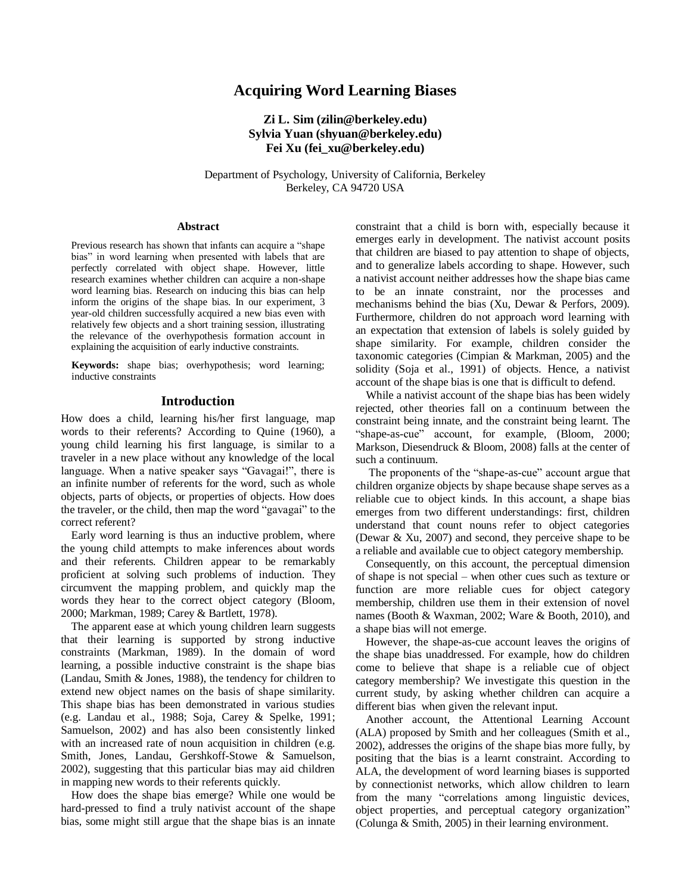# **Acquiring Word Learning Biases**

## **Zi L. Sim (zilin@berkeley.edu) Sylvia Yuan (shyuan@berkeley.edu) Fei Xu (fei\_xu@berkeley.edu)**

Department of Psychology, University of California, Berkeley Berkeley, CA 94720 USA

#### **Abstract**

Previous research has shown that infants can acquire a "shape bias" in word learning when presented with labels that are perfectly correlated with object shape. However, little research examines whether children can acquire a non-shape word learning bias. Research on inducing this bias can help inform the origins of the shape bias. In our experiment, 3 year-old children successfully acquired a new bias even with relatively few objects and a short training session, illustrating the relevance of the overhypothesis formation account in explaining the acquisition of early inductive constraints.

**Keywords:** shape bias; overhypothesis; word learning; inductive constraints

## **Introduction**

How does a child, learning his/her first language, map words to their referents? According to Quine (1960), a young child learning his first language, is similar to a traveler in a new place without any knowledge of the local language. When a native speaker says "Gavagai!", there is an infinite number of referents for the word, such as whole objects, parts of objects, or properties of objects. How does the traveler, or the child, then map the word "gavagai" to the correct referent?

Early word learning is thus an inductive problem, where the young child attempts to make inferences about words and their referents. Children appear to be remarkably proficient at solving such problems of induction. They circumvent the mapping problem, and quickly map the words they hear to the correct object category (Bloom, 2000; Markman, 1989; Carey & Bartlett, 1978).

The apparent ease at which young children learn suggests that their learning is supported by strong inductive constraints (Markman, 1989). In the domain of word learning, a possible inductive constraint is the shape bias (Landau, Smith & Jones, 1988), the tendency for children to extend new object names on the basis of shape similarity. This shape bias has been demonstrated in various studies (e.g. Landau et al., 1988; Soja, Carey & Spelke, 1991; Samuelson, 2002) and has also been consistently linked with an increased rate of noun acquisition in children (e.g. Smith, Jones, Landau, Gershkoff-Stowe & Samuelson, 2002), suggesting that this particular bias may aid children in mapping new words to their referents quickly.

How does the shape bias emerge? While one would be hard-pressed to find a truly nativist account of the shape bias, some might still argue that the shape bias is an innate constraint that a child is born with, especially because it emerges early in development. The nativist account posits that children are biased to pay attention to shape of objects, and to generalize labels according to shape. However, such a nativist account neither addresses how the shape bias came to be an innate constraint, nor the processes and mechanisms behind the bias (Xu, Dewar & Perfors, 2009). Furthermore, children do not approach word learning with an expectation that extension of labels is solely guided by shape similarity. For example, children consider the taxonomic categories (Cimpian & Markman, 2005) and the solidity (Soja et al., 1991) of objects. Hence, a nativist account of the shape bias is one that is difficult to defend.

While a nativist account of the shape bias has been widely rejected, other theories fall on a continuum between the constraint being innate, and the constraint being learnt. The "shape-as-cue" account, for example, (Bloom, 2000; Markson, Diesendruck & Bloom, 2008) falls at the center of such a continuum.

The proponents of the "shape-as-cue" account argue that children organize objects by shape because shape serves as a reliable cue to object kinds. In this account, a shape bias emerges from two different understandings: first, children understand that count nouns refer to object categories (Dewar & Xu, 2007) and second, they perceive shape to be a reliable and available cue to object category membership.

Consequently, on this account, the perceptual dimension of shape is not special – when other cues such as texture or function are more reliable cues for object category membership, children use them in their extension of novel names (Booth & Waxman, 2002; Ware & Booth, 2010), and a shape bias will not emerge.

However, the shape-as-cue account leaves the origins of the shape bias unaddressed. For example, how do children come to believe that shape is a reliable cue of object category membership? We investigate this question in the current study, by asking whether children can acquire a different bias when given the relevant input.

Another account, the Attentional Learning Account (ALA) proposed by Smith and her colleagues (Smith et al., 2002), addresses the origins of the shape bias more fully, by positing that the bias is a learnt constraint. According to ALA, the development of word learning biases is supported by connectionist networks, which allow children to learn from the many "correlations among linguistic devices, object properties, and perceptual category organization" (Colunga & Smith, 2005) in their learning environment.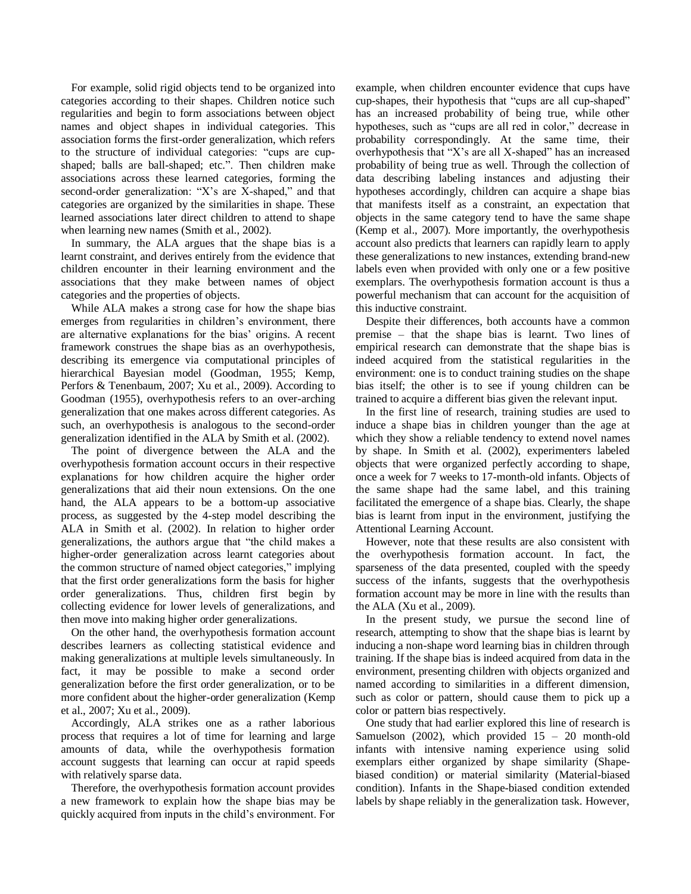For example, solid rigid objects tend to be organized into categories according to their shapes. Children notice such regularities and begin to form associations between object names and object shapes in individual categories. This association forms the first-order generalization, which refers to the structure of individual categories: "cups are cupshaped; balls are ball-shaped; etc.". Then children make associations across these learned categories, forming the second-order generalization: "X"s are X-shaped," and that categories are organized by the similarities in shape. These learned associations later direct children to attend to shape when learning new names (Smith et al., 2002).

In summary, the ALA argues that the shape bias is a learnt constraint, and derives entirely from the evidence that children encounter in their learning environment and the associations that they make between names of object categories and the properties of objects.

While ALA makes a strong case for how the shape bias emerges from regularities in children's environment, there are alternative explanations for the bias' origins. A recent framework construes the shape bias as an overhypothesis, describing its emergence via computational principles of hierarchical Bayesian model (Goodman, 1955; Kemp, Perfors & Tenenbaum, 2007; Xu et al., 2009). According to Goodman (1955), overhypothesis refers to an over-arching generalization that one makes across different categories. As such, an overhypothesis is analogous to the second-order generalization identified in the ALA by Smith et al. (2002).

The point of divergence between the ALA and the overhypothesis formation account occurs in their respective explanations for how children acquire the higher order generalizations that aid their noun extensions. On the one hand, the ALA appears to be a bottom-up associative process, as suggested by the 4-step model describing the ALA in Smith et al. (2002). In relation to higher order generalizations, the authors argue that "the child makes a higher-order generalization across learnt categories about the common structure of named object categories," implying that the first order generalizations form the basis for higher order generalizations. Thus, children first begin by collecting evidence for lower levels of generalizations, and then move into making higher order generalizations.

On the other hand, the overhypothesis formation account describes learners as collecting statistical evidence and making generalizations at multiple levels simultaneously. In fact, it may be possible to make a second order generalization before the first order generalization, or to be more confident about the higher-order generalization (Kemp et al., 2007; Xu et al., 2009).

Accordingly, ALA strikes one as a rather laborious process that requires a lot of time for learning and large amounts of data, while the overhypothesis formation account suggests that learning can occur at rapid speeds with relatively sparse data.

Therefore, the overhypothesis formation account provides a new framework to explain how the shape bias may be quickly acquired from inputs in the child"s environment. For example, when children encounter evidence that cups have cup-shapes, their hypothesis that "cups are all cup-shaped" has an increased probability of being true, while other hypotheses, such as "cups are all red in color," decrease in probability correspondingly. At the same time, their overhypothesis that "X"s are all X-shaped" has an increased probability of being true as well. Through the collection of data describing labeling instances and adjusting their hypotheses accordingly, children can acquire a shape bias that manifests itself as a constraint, an expectation that objects in the same category tend to have the same shape (Kemp et al., 2007). More importantly, the overhypothesis account also predicts that learners can rapidly learn to apply these generalizations to new instances, extending brand-new labels even when provided with only one or a few positive exemplars. The overhypothesis formation account is thus a powerful mechanism that can account for the acquisition of this inductive constraint.

Despite their differences, both accounts have a common premise – that the shape bias is learnt. Two lines of empirical research can demonstrate that the shape bias is indeed acquired from the statistical regularities in the environment: one is to conduct training studies on the shape bias itself; the other is to see if young children can be trained to acquire a different bias given the relevant input.

In the first line of research, training studies are used to induce a shape bias in children younger than the age at which they show a reliable tendency to extend novel names by shape. In Smith et al. (2002), experimenters labeled objects that were organized perfectly according to shape, once a week for 7 weeks to 17-month-old infants. Objects of the same shape had the same label, and this training facilitated the emergence of a shape bias. Clearly, the shape bias is learnt from input in the environment, justifying the Attentional Learning Account.

However, note that these results are also consistent with the overhypothesis formation account. In fact, the sparseness of the data presented, coupled with the speedy success of the infants, suggests that the overhypothesis formation account may be more in line with the results than the ALA (Xu et al., 2009).

In the present study, we pursue the second line of research, attempting to show that the shape bias is learnt by inducing a non-shape word learning bias in children through training. If the shape bias is indeed acquired from data in the environment, presenting children with objects organized and named according to similarities in a different dimension, such as color or pattern, should cause them to pick up a color or pattern bias respectively.

One study that had earlier explored this line of research is Samuelson  $(2002)$ , which provided  $15 - 20$  month-old infants with intensive naming experience using solid exemplars either organized by shape similarity (Shapebiased condition) or material similarity (Material-biased condition). Infants in the Shape-biased condition extended labels by shape reliably in the generalization task. However,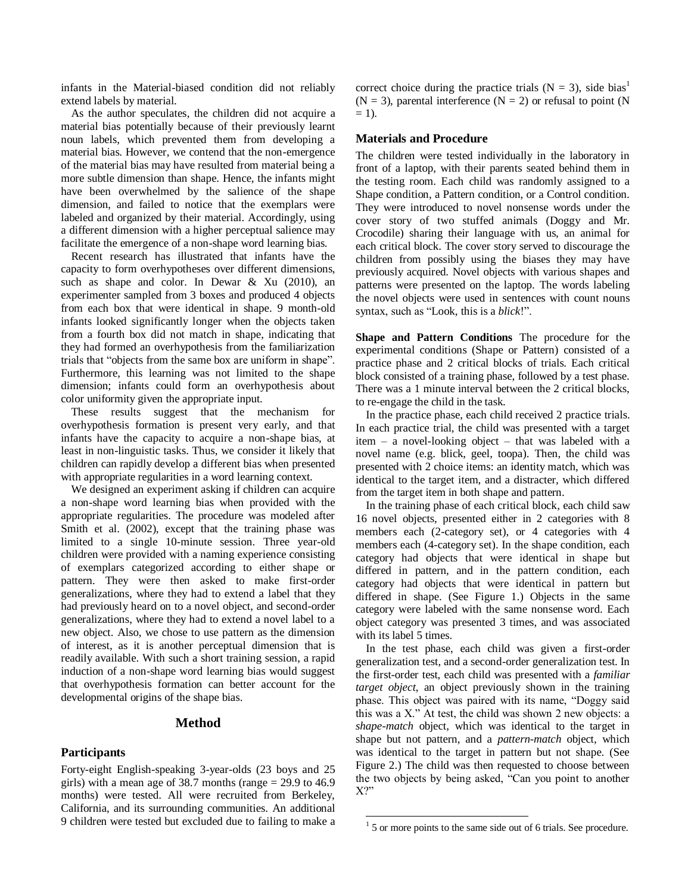infants in the Material-biased condition did not reliably extend labels by material.

As the author speculates, the children did not acquire a material bias potentially because of their previously learnt noun labels, which prevented them from developing a material bias. However, we contend that the non-emergence of the material bias may have resulted from material being a more subtle dimension than shape. Hence, the infants might have been overwhelmed by the salience of the shape dimension, and failed to notice that the exemplars were labeled and organized by their material. Accordingly, using a different dimension with a higher perceptual salience may facilitate the emergence of a non-shape word learning bias.

Recent research has illustrated that infants have the capacity to form overhypotheses over different dimensions, such as shape and color. In Dewar  $\&$  Xu (2010), an experimenter sampled from 3 boxes and produced 4 objects from each box that were identical in shape. 9 month-old infants looked significantly longer when the objects taken from a fourth box did not match in shape, indicating that they had formed an overhypothesis from the familiarization trials that "objects from the same box are uniform in shape". Furthermore, this learning was not limited to the shape dimension; infants could form an overhypothesis about color uniformity given the appropriate input.

These results suggest that the mechanism for overhypothesis formation is present very early, and that infants have the capacity to acquire a non-shape bias, at least in non-linguistic tasks. Thus, we consider it likely that children can rapidly develop a different bias when presented with appropriate regularities in a word learning context.

We designed an experiment asking if children can acquire a non-shape word learning bias when provided with the appropriate regularities. The procedure was modeled after Smith et al. (2002), except that the training phase was limited to a single 10-minute session. Three year-old children were provided with a naming experience consisting of exemplars categorized according to either shape or pattern. They were then asked to make first-order generalizations, where they had to extend a label that they had previously heard on to a novel object, and second-order generalizations, where they had to extend a novel label to a new object. Also, we chose to use pattern as the dimension of interest, as it is another perceptual dimension that is readily available. With such a short training session, a rapid induction of a non-shape word learning bias would suggest that overhypothesis formation can better account for the developmental origins of the shape bias.

## **Method**

## **Participants**

Forty-eight English-speaking 3-year-olds (23 boys and 25 girls) with a mean age of 38.7 months (range = 29.9 to 46.9 months) were tested. All were recruited from Berkeley, California, and its surrounding communities. An additional 9 children were tested but excluded due to failing to make a correct choice during the practice trials ( $N = 3$ ), side bias<sup>1</sup>  $(N = 3)$ , parental interference  $(N = 2)$  or refusal to point (N)  $= 1$ ).

#### **Materials and Procedure**

The children were tested individually in the laboratory in front of a laptop, with their parents seated behind them in the testing room. Each child was randomly assigned to a Shape condition, a Pattern condition, or a Control condition. They were introduced to novel nonsense words under the cover story of two stuffed animals (Doggy and Mr. Crocodile) sharing their language with us, an animal for each critical block. The cover story served to discourage the children from possibly using the biases they may have previously acquired. Novel objects with various shapes and patterns were presented on the laptop. The words labeling the novel objects were used in sentences with count nouns syntax, such as "Look, this is a *blick*!".

**Shape and Pattern Conditions** The procedure for the experimental conditions (Shape or Pattern) consisted of a practice phase and 2 critical blocks of trials. Each critical block consisted of a training phase, followed by a test phase. There was a 1 minute interval between the 2 critical blocks, to re-engage the child in the task.

In the practice phase, each child received 2 practice trials. In each practice trial, the child was presented with a target item – a novel-looking object – that was labeled with a novel name (e.g. blick, geel, toopa). Then, the child was presented with 2 choice items: an identity match, which was identical to the target item, and a distracter, which differed from the target item in both shape and pattern.

In the training phase of each critical block, each child saw 16 novel objects, presented either in 2 categories with 8 members each (2-category set), or 4 categories with 4 members each (4-category set). In the shape condition, each category had objects that were identical in shape but differed in pattern, and in the pattern condition, each category had objects that were identical in pattern but differed in shape. (See Figure 1.) Objects in the same category were labeled with the same nonsense word. Each object category was presented 3 times, and was associated with its label 5 times.

In the test phase, each child was given a first-order generalization test, and a second-order generalization test. In the first-order test, each child was presented with a *familiar target object*, an object previously shown in the training phase. This object was paired with its name, "Doggy said this was a X." At test, the child was shown 2 new objects: a *shape-match* object, which was identical to the target in shape but not pattern, and a *pattern-match* object*,* which was identical to the target in pattern but not shape. (See Figure 2.) The child was then requested to choose between the two objects by being asked, "Can you point to another X?"

-

 $<sup>1</sup>$  5 or more points to the same side out of 6 trials. See procedure.</sup>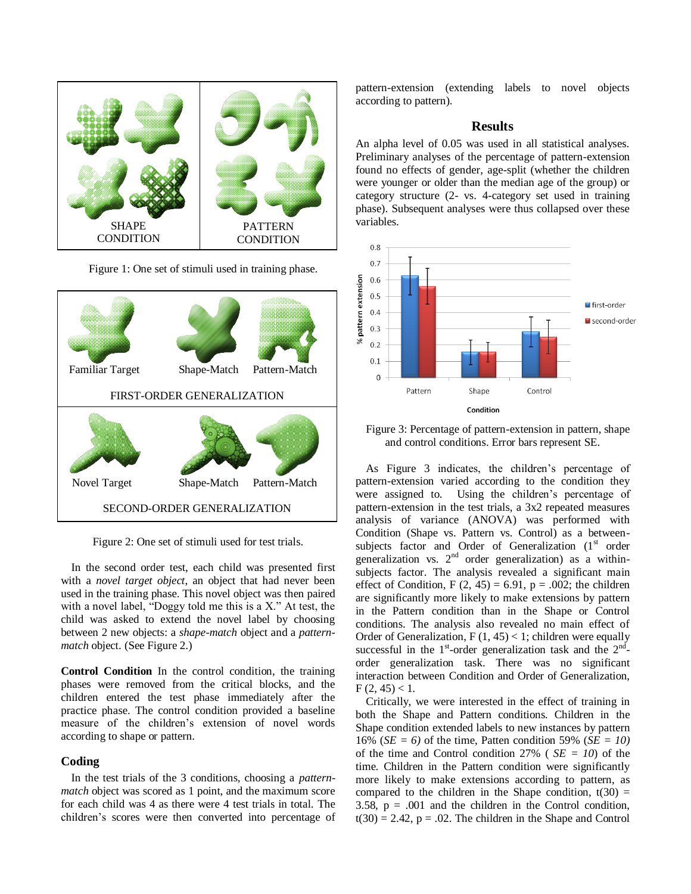

Figure 1: One set of stimuli used in training phase.



Figure 2: One set of stimuli used for test trials.

In the second order test, each child was presented first with a *novel target object*, an object that had never been used in the training phase. This novel object was then paired with a novel label, "Doggy told me this is a X." At test, the child was asked to extend the novel label by choosing between 2 new objects: a *shape-match* object and a *patternmatch* object. (See Figure 2.)

**Control Condition** In the control condition, the training phases were removed from the critical blocks, and the children entered the test phase immediately after the practice phase. The control condition provided a baseline measure of the children"s extension of novel words according to shape or pattern.

## **Coding**

In the test trials of the 3 conditions, choosing a *patternmatch* object was scored as 1 point, and the maximum score for each child was 4 as there were 4 test trials in total. The children"s scores were then converted into percentage of pattern-extension (extending labels to novel objects according to pattern).

## **Results**

An alpha level of 0.05 was used in all statistical analyses. Preliminary analyses of the percentage of pattern-extension found no effects of gender, age-split (whether the children were younger or older than the median age of the group) or category structure (2- vs. 4-category set used in training phase). Subsequent analyses were thus collapsed over these variables.



Figure 3: Percentage of pattern-extension in pattern, shape and control conditions. Error bars represent SE.

As Figure 3 indicates, the children"s percentage of pattern-extension varied according to the condition they were assigned to. Using the children"s percentage of pattern-extension in the test trials, a 3x2 repeated measures analysis of variance (ANOVA) was performed with Condition (Shape vs. Pattern vs. Control) as a betweensubjects factor and Order of Generalization  $(1<sup>st</sup>$  order generalization vs.  $2<sup>nd</sup>$  order generalization) as a withinsubjects factor. The analysis revealed a significant main effect of Condition,  $F(2, 45) = 6.91$ ,  $p = .002$ ; the children are significantly more likely to make extensions by pattern in the Pattern condition than in the Shape or Control conditions. The analysis also revealed no main effect of Order of Generalization,  $F(1, 45) < 1$ ; children were equally successful in the  $1<sup>st</sup>$ -order generalization task and the  $2<sup>nd</sup>$ order generalization task. There was no significant interaction between Condition and Order of Generalization,  $F(2, 45) < 1.$ 

Critically, we were interested in the effect of training in both the Shape and Pattern conditions. Children in the Shape condition extended labels to new instances by pattern 16% (*SE = 6)* of the time, Patten condition 59% (*SE = 10)* of the time and Control condition  $27\%$  ( $SE = 10$ ) of the time. Children in the Pattern condition were significantly more likely to make extensions according to pattern, as compared to the children in the Shape condition,  $t(30)$  = 3.58,  $p = .001$  and the children in the Control condition,  $t(30) = 2.42$ ,  $p = .02$ . The children in the Shape and Control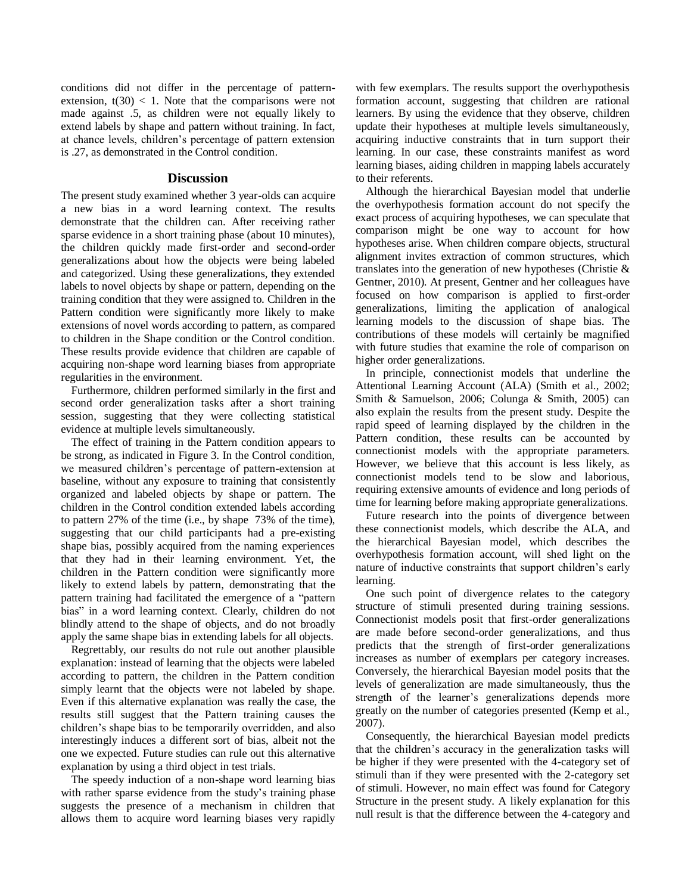conditions did not differ in the percentage of patternextension,  $t(30) < 1$ . Note that the comparisons were not made against .5, as children were not equally likely to extend labels by shape and pattern without training. In fact, at chance levels, children"s percentage of pattern extension is .27, as demonstrated in the Control condition.

## **Discussion**

The present study examined whether 3 year-olds can acquire a new bias in a word learning context. The results demonstrate that the children can. After receiving rather sparse evidence in a short training phase (about 10 minutes), the children quickly made first-order and second-order generalizations about how the objects were being labeled and categorized. Using these generalizations, they extended labels to novel objects by shape or pattern, depending on the training condition that they were assigned to. Children in the Pattern condition were significantly more likely to make extensions of novel words according to pattern, as compared to children in the Shape condition or the Control condition. These results provide evidence that children are capable of acquiring non-shape word learning biases from appropriate regularities in the environment.

Furthermore, children performed similarly in the first and second order generalization tasks after a short training session, suggesting that they were collecting statistical evidence at multiple levels simultaneously.

The effect of training in the Pattern condition appears to be strong, as indicated in Figure 3. In the Control condition, we measured children"s percentage of pattern-extension at baseline, without any exposure to training that consistently organized and labeled objects by shape or pattern. The children in the Control condition extended labels according to pattern 27% of the time (i.e., by shape 73% of the time), suggesting that our child participants had a pre-existing shape bias, possibly acquired from the naming experiences that they had in their learning environment. Yet, the children in the Pattern condition were significantly more likely to extend labels by pattern, demonstrating that the pattern training had facilitated the emergence of a "pattern bias" in a word learning context. Clearly, children do not blindly attend to the shape of objects, and do not broadly apply the same shape bias in extending labels for all objects.

Regrettably, our results do not rule out another plausible explanation: instead of learning that the objects were labeled according to pattern, the children in the Pattern condition simply learnt that the objects were not labeled by shape. Even if this alternative explanation was really the case, the results still suggest that the Pattern training causes the children"s shape bias to be temporarily overridden, and also interestingly induces a different sort of bias, albeit not the one we expected. Future studies can rule out this alternative explanation by using a third object in test trials.

The speedy induction of a non-shape word learning bias with rather sparse evidence from the study's training phase suggests the presence of a mechanism in children that allows them to acquire word learning biases very rapidly with few exemplars. The results support the overhypothesis formation account, suggesting that children are rational learners. By using the evidence that they observe, children update their hypotheses at multiple levels simultaneously, acquiring inductive constraints that in turn support their learning. In our case, these constraints manifest as word learning biases, aiding children in mapping labels accurately to their referents.

Although the hierarchical Bayesian model that underlie the overhypothesis formation account do not specify the exact process of acquiring hypotheses, we can speculate that comparison might be one way to account for how hypotheses arise. When children compare objects, structural alignment invites extraction of common structures, which translates into the generation of new hypotheses (Christie & Gentner, 2010). At present, Gentner and her colleagues have focused on how comparison is applied to first-order generalizations, limiting the application of analogical learning models to the discussion of shape bias. The contributions of these models will certainly be magnified with future studies that examine the role of comparison on higher order generalizations.

In principle, connectionist models that underline the Attentional Learning Account (ALA) (Smith et al., 2002; Smith & Samuelson, 2006; Colunga & Smith, 2005) can also explain the results from the present study. Despite the rapid speed of learning displayed by the children in the Pattern condition, these results can be accounted by connectionist models with the appropriate parameters. However, we believe that this account is less likely, as connectionist models tend to be slow and laborious, requiring extensive amounts of evidence and long periods of time for learning before making appropriate generalizations.

Future research into the points of divergence between these connectionist models, which describe the ALA, and the hierarchical Bayesian model, which describes the overhypothesis formation account, will shed light on the nature of inductive constraints that support children"s early learning.

One such point of divergence relates to the category structure of stimuli presented during training sessions. Connectionist models posit that first-order generalizations are made before second-order generalizations, and thus predicts that the strength of first-order generalizations increases as number of exemplars per category increases. Conversely, the hierarchical Bayesian model posits that the levels of generalization are made simultaneously, thus the strength of the learner"s generalizations depends more greatly on the number of categories presented (Kemp et al., 2007).

Consequently, the hierarchical Bayesian model predicts that the children"s accuracy in the generalization tasks will be higher if they were presented with the 4-category set of stimuli than if they were presented with the 2-category set of stimuli. However, no main effect was found for Category Structure in the present study. A likely explanation for this null result is that the difference between the 4-category and